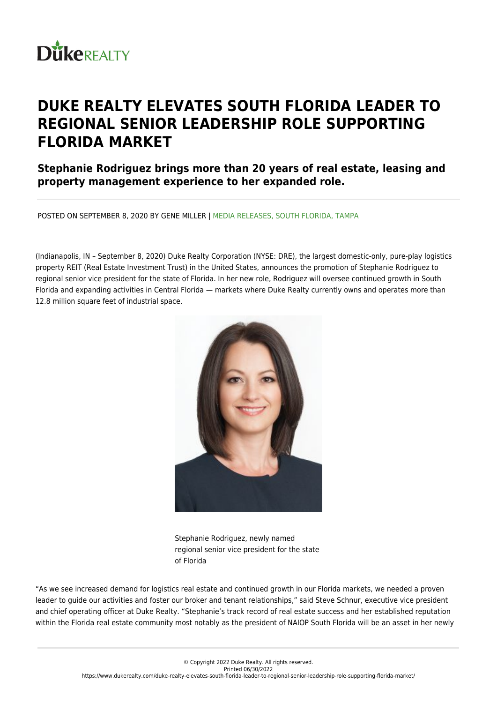

## **DUKE REALTY ELEVATES SOUTH FLORIDA LEADER TO REGIONAL SENIOR LEADERSHIP ROLE SUPPORTING FLORIDA MARKET**

**Stephanie Rodriguez brings more than 20 years of real estate, leasing and property management experience to her expanded role.**

POSTED ON SEPTEMBER 8, 2020 BY GENE MILLER | MEDIA RELEASES, SOUTH FLORIDA, TAMPA

(Indianapolis, IN – September 8, 2020) Duke Realty Corporation (NYSE: DRE), the largest domestic-only, pure-play logistics property REIT (Real Estate Investment Trust) in the United States, announces the promotion of Stephanie Rodriguez to regional senior vice president for the state of Florida. In her new role, Rodriguez will oversee continued growth in South Florida and expanding activities in Central Florida — markets where Duke Realty currently owns and operates more than 12.8 million square feet of industrial space.



Stephanie Rodriguez, newly named regional senior vice president for the state of Florida

"As we see increased demand for logistics real estate and continued growth in our Florida markets, we needed a proven leader to guide our activities and foster our broker and tenant relationships," said Steve Schnur, executive vice president and chief operating officer at Duke Realty. "Stephanie's track record of real estate success and her established reputation within the Florida real estate community most notably as the president of NAIOP South Florida will be an asset in her newly